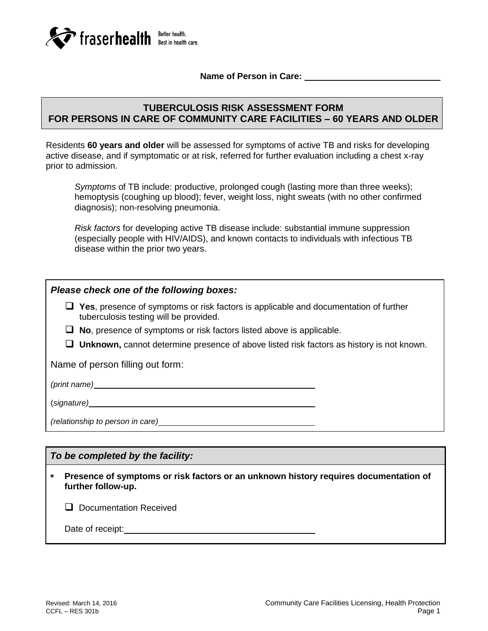

**Name of Person in Care:** 

# **TUBERCULOSIS RISK ASSESSMENT FORM FOR PERSONS IN CARE OF COMMUNITY CARE FACILITIES – 60 YEARS AND OLDER**

Residents **60 years and older** will be assessed for symptoms of active TB and risks for developing active disease, and if symptomatic or at risk, referred for further evaluation including a chest x-ray prior to admission.

*Symptoms* of TB include: productive, prolonged cough (lasting more than three weeks); hemoptysis (coughing up blood); fever, weight loss, night sweats (with no other confirmed diagnosis); non-resolving pneumonia.

*Risk factors* for developing active TB disease include: substantial immune suppression (especially people with HIV/AIDS), and known contacts to individuals with infectious TB disease within the prior two years.

## *Please check one of the following boxes:*

- **Yes**, presence of symptoms or risk factors is applicable and documentation of further tuberculosis testing will be provided.
- **No**, presence of symptoms or risk factors listed above is applicable.
- **Unknown,** cannot determine presence of above listed risk factors as history is not known.

Name of person filling out form:

*(print name)*

(*signature)*

*(relationship to person in care)*

## *To be completed by the facility:*

**\* Presence of symptoms or risk factors or an unknown history requires documentation of further follow-up.**

**Q** Documentation Received

Date of receipt: